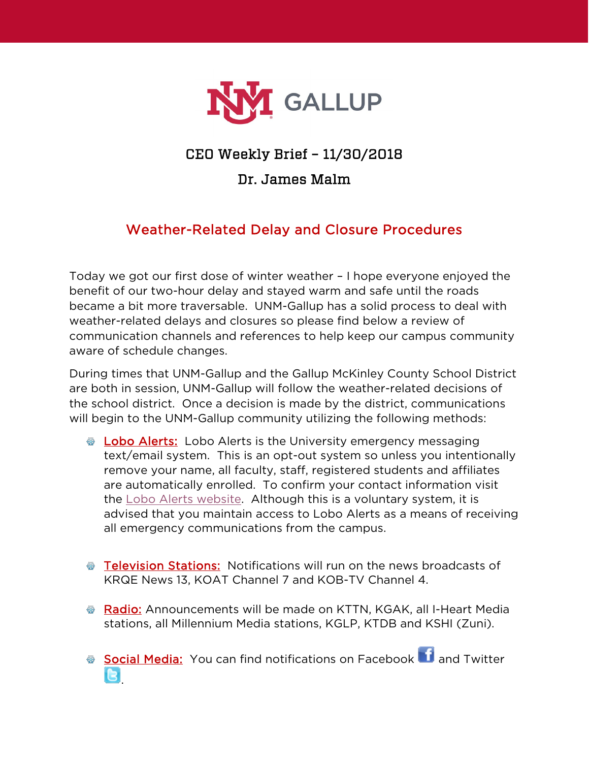

## CEO Weekly Brief – 11/30/2018

## Dr. James Malm

## Weather-Related Delay and Closure Procedures

Today we got our first dose of winter weather – I hope everyone enjoyed the benefit of our two-hour delay and stayed warm and safe until the roads became a bit more traversable. UNM-Gallup has a solid process to deal with weather-related delays and closures so please find below a review of communication channels and references to help keep our campus community aware of schedule changes.

During times that UNM-Gallup and the Gallup McKinley County School District are both in session, UNM-Gallup will follow the weather-related decisions of the school district. Once a decision is made by the district, communications will begin to the UNM-Gallup community utilizing the following methods:

- **Lobo Alerts:** Lobo Alerts is the University emergency messaging text/email system. This is an opt-out system so unless you intentionally remove your name, all faculty, staff, registered students and affiliates are automatically enrolled. To confirm your contact information visit the [Lobo Alerts website.](https://loboalerts.unm.edu/) Although this is a voluntary system, it is advised that you maintain access to Lobo Alerts as a means of receiving all emergency communications from the campus.
- Television Stations: Notifications will run on the news broadcasts of KRQE News 13, KOAT Channel 7 and KOB-TV Channel 4.
- Radio: Announcements will be made on KTTN, KGAK, all I-Heart Media stations, all Millennium Media stations, KGLP, KTDB and KSHI (Zuni).
- SocialMedia: You can find notifications on Facebook **1** and Twitter .